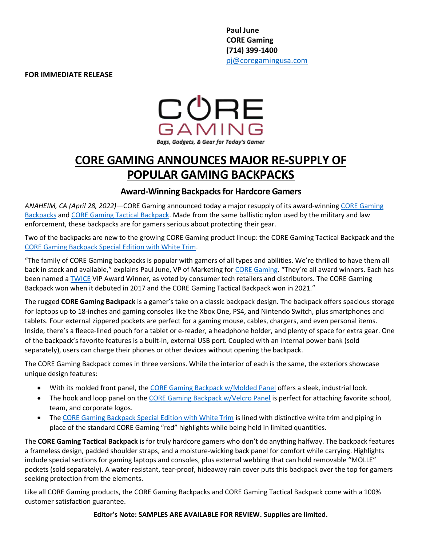**Paul June CORE Gaming (714) 399-1400** [pj@coregamingusa.com](mailto:pj@coregamingusa.com)

**FOR IMMEDIATE RELEASE**



## **CORE GAMING ANNOUNCES MAJOR RE-SUPPLY OF POPULAR GAMING BACKPACKS**

## **Award-Winning Backpacks for Hardcore Gamers**

*ANAHEIM, CA (April 28, 2022)—*CORE Gaming announced today a major resupply of its award-winnin[g CORE Gaming](https://coregamingusa.com/collections/core-gaming-bags)  [Backpacks](https://coregamingusa.com/collections/core-gaming-bags) and CORE [Gaming Tactical Backpack.](https://coregamingusa.com/collections/core-gaming-bags/products/core-gaming-tactical-backpack) Made from the same ballistic nylon used by the military and law enforcement, these backpacks are for gamers serious about protecting their gear.

Two of the backpacks are new to the growing CORE Gaming product lineup: the CORE Gaming Tactical Backpack and the [CORE Gaming Backpack Special Edition with White Trim.](https://coregamingusa.com/collections/core-gaming-bags/products/core-gaming-backpack-with-molded-panel-white)

"The family of CORE Gaming backpacks is popular with gamers of all types and abilities. We're thrilled to have them all back in stock and available," explains Paul June, VP of Marketing for [CORE Gaming.](https://coregamingusa.com/) "They're all award winners. Each has been named a [TWICE](https://www.twice.com/vip-awards/announcing-the-winners-of-the-2021-twice-vip-awards) VIP Award Winner, as voted by consumer tech retailers and distributors. The CORE Gaming Backpack won when it debuted in 2017 and the CORE Gaming Tactical Backpack won in 2021."

The rugged **CORE Gaming Backpack** is a gamer's take on a classic backpack design. The backpack offers spacious storage for laptops up to 18-inches and gaming consoles like the Xbox One, PS4, and Nintendo Switch, plus smartphones and tablets. Four external zippered pockets are perfect for a gaming mouse, cables, chargers, and even personal items. Inside, there's a fleece-lined pouch for a tablet or e-reader, a headphone holder, and plenty of space for extra gear. One of the backpack's favorite features is a built-in, external USB port. Coupled with an internal power bank (sold separately), users can charge their phones or other devices without opening the backpack.

The CORE Gaming Backpack comes in three versions. While the interior of each is the same, the exteriors showcase unique design features:

- With its molded front panel, the [CORE Gaming Backpack w/Molded Panel](https://coregamingusa.com/collections/core-gaming-bags/products/mobile-edge-core-gaming-backpack-w-molded-panel-17-3-18) offers a sleek, industrial look.
- The hook and loop panel on the [CORE Gaming Backpack w/Velcro Panel](https://coregamingusa.com/collections/core-gaming-bags/products/mobile-edge-core-gaming-backpack-w-velcro-panel-17-3-18) is perfect for attaching favorite school, team, and corporate logos.
- The [CORE Gaming Backpack Special Edition with White Trim](https://coregamingusa.com/collections/core-gaming-bags/products/core-gaming-backpack-with-molded-panel-white) is lined with distinctive white trim and piping in place of the standard CORE Gaming "red" highlights while being held in limited quantities.

The **CORE Gaming Tactical Backpack** is for truly hardcore gamers who don't do anything halfway. The backpack features a frameless design, padded shoulder straps, and a moisture-wicking back panel for comfort while carrying. Highlights include special sections for gaming laptops and consoles, plus external webbing that can hold removable "MOLLE" pockets (sold separately). A water-resistant, tear-proof, hideaway rain cover puts this backpack over the top for gamers seeking protection from the elements.

Like all CORE Gaming products, the CORE Gaming Backpacks and CORE Gaming Tactical Backpack come with a 100% customer satisfaction guarantee.

**Editor's Note: SAMPLES ARE AVAILABLE FOR REVIEW. Supplies are limited.**